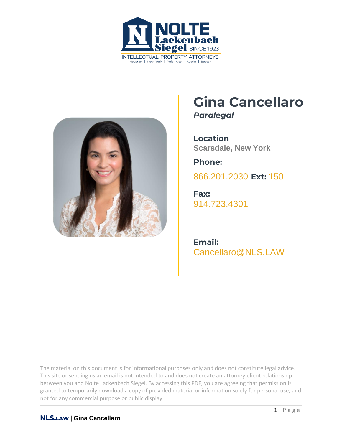



## **Gina Cancellaro** *Paralegal*

**Location Scarsdale, New York**

**Phone:** [866.201.2030](tel:+1942629223) **Ext:** 150

**Fax:** [914.723.4301](tel:+19147234301)

**Email:** [Cancellaro@NLS.LAW](mailto:Cancellaro@NLS.LAW)

The material on this document is for informational purposes only and does not constitute legal advice. This site or sending us an email is not intended to and does not create an attorney-client relationship between you and Nolte Lackenbach Siegel. By accessing this PDF, you are agreeing that permission is granted to temporarily download a copy of provided material or information solely for personal use, and not for any commercial purpose or public display.